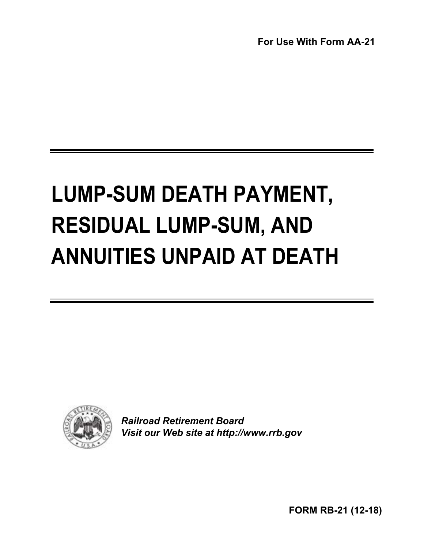**For Use With Form AA-21**

# **LUMP-SUM DEATH PAYMENT, RESIDUAL LUMP-SUM, AND ANNUITIES UNPAID AT DEATH**



*Railroad Retirement Board Visit our Web site at http://www.rrb.gov* 

**FORM RB-21 (12-18)**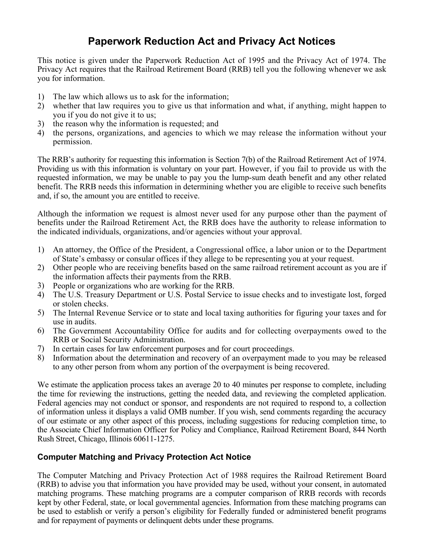# **Paperwork Reduction Act and Privacy Act Notices**

This notice is given under the Paperwork Reduction Act of 1995 and the Privacy Act of 1974. The Privacy Act requires that the Railroad Retirement Board (RRB) tell you the following whenever we ask you for information.

- 1) The law which allows us to ask for the information;
- 2) whether that law requires you to give us that information and what, if anything, might happen to you if you do not give it to us;
- 3) the reason why the information is requested; and
- 4) the persons, organizations, and agencies to which we may release the information without your permission.

 Providing us with this information is voluntary on your part. However, if you fail to provide us with the The RRB's authority for requesting this information is Section 7(b) of the Railroad Retirement Act of 1974. requested information, we may be unable to pay you the lump-sum death benefit and any other related benefit. The RRB needs this information in determining whether you are eligible to receive such benefits and, if so, the amount you are entitled to receive.

Although the information we request is almost never used for any purpose other than the payment of benefits under the Railroad Retirement Act, the RRB does have the authority to release information to the indicated individuals, organizations, and/or agencies without your approval.

- 1) An attorney, the Office of the President, a Congressional office, a labor union or to the Department of State's embassy or consular offices if they allege to be representing you at your request.
- 2) Other people who are receiving benefits based on the same railroad retirement account as you are if the information affects their payments from the RRB.
- 3) People or organizations who are working for the RRB.
- 4) The U.S. Treasury Department or U.S. Postal Service to issue checks and to investigate lost, forged or stolen checks.
- 5) The Internal Revenue Service or to state and local taxing authorities for figuring your taxes and for use in audits.
- 6) The Government Accountability Office for audits and for collecting overpayments owed to the RRB or Social Security Administration.
- 7) In certain cases for law enforcement purposes and for court proceedings.
- 8) Information about the determination and recovery of an overpayment made to you may be released to any other person from whom any portion of the overpayment is being recovered.

We estimate the application process takes an average 20 to 40 minutes per response to complete, including the time for reviewing the instructions, getting the needed data, and reviewing the completed application. Federal agencies may not conduct or sponsor, and respondents are not required to respond to, a collection of information unless it displays a valid OMB number. If you wish, send comments regarding the accuracy of our estimate or any other aspect of this process, including suggestions for reducing completion time, to the Associate Chief Information Officer for Policy and Compliance, Railroad Retirement Board, 844 North Rush Street, Chicago, Illinois 60611-1275.

#### **Computer Matching and Privacy Protection Act Notice**

 matching programs. These matching programs are a computer comparison of RRB records with records The Computer Matching and Privacy Protection Act of 1988 requires the Railroad Retirement Board (RRB) to advise you that information you have provided may be used, without your consent, in automated kept by other Federal, state, or local governmental agencies. Information from these matching programs can be used to establish or verify a person's eligibility for Federally funded or administered benefit programs and for repayment of payments or delinquent debts under these programs.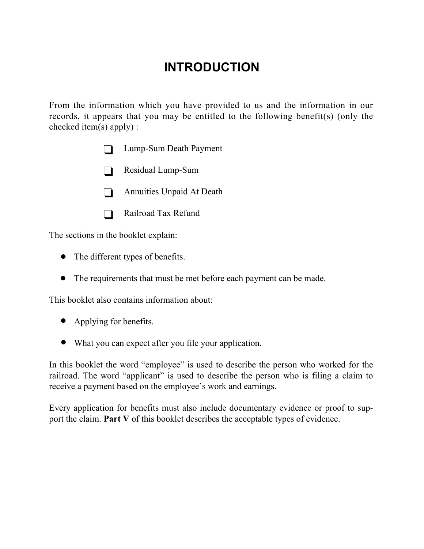# **INTRODUCTION**

From the information which you have provided to us and the information in our records, it appears that you may be entitled to the following benefit(s) (only the checked item(s) apply) :

- $\Box$  Lump-Sum Death Payment
- $\Box$  Residual Lump-Sum
- $\Box$  Annuities Unpaid At Death
- $\Box$  Railroad Tax Refund

The sections in the booklet explain:

- $\bullet$  The different types of benefits.
- The requirements that must be met before each payment can be made.

This booklet also contains information about:

- Applying for benefits.
- What you can expect after you file your application.

In this booklet the word "employee" is used to describe the person who worked for the railroad. The word "applicant" is used to describe the person who is filing a claim to receive a payment based on the employee's work and earnings.

Every application for benefits must also include documentary evidence or proof to support the claim. **Part V** of this booklet describes the acceptable types of evidence.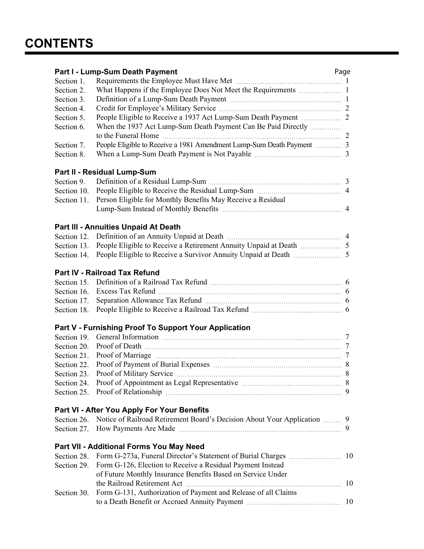| Part I - Lump-Sum Death Payment<br>Page     |                                                                          |  |
|---------------------------------------------|--------------------------------------------------------------------------|--|
| Section 1.                                  |                                                                          |  |
| Section 2.                                  |                                                                          |  |
| Section 3.                                  |                                                                          |  |
| Section 4.                                  |                                                                          |  |
| Section 5.                                  |                                                                          |  |
| Section 6.                                  | When the 1937 Act Lump-Sum Death Payment Can Be Paid Directly            |  |
|                                             |                                                                          |  |
| Section 7.                                  |                                                                          |  |
| Section 8.                                  |                                                                          |  |
|                                             | Part II - Residual Lump-Sum                                              |  |
| Section 9.                                  |                                                                          |  |
| Section 10.                                 |                                                                          |  |
| Section 11.                                 | Person Eligible for Monthly Benefits May Receive a Residual              |  |
|                                             |                                                                          |  |
|                                             |                                                                          |  |
|                                             | Part III - Annuities Unpaid At Death                                     |  |
|                                             |                                                                          |  |
| Section 13.                                 |                                                                          |  |
| Section 14.                                 |                                                                          |  |
| Part IV - Railroad Tax Refund               |                                                                          |  |
| Section 15.                                 |                                                                          |  |
| Section 16.                                 |                                                                          |  |
| Section 17.                                 |                                                                          |  |
| Section 18.                                 |                                                                          |  |
|                                             | Part V - Furnishing Proof To Support Your Application                    |  |
| Section 19.                                 |                                                                          |  |
| Section 20.                                 |                                                                          |  |
| Section 21.                                 |                                                                          |  |
| Section 22.                                 |                                                                          |  |
| Section 23.                                 |                                                                          |  |
| Section 24.                                 |                                                                          |  |
| Section 25.                                 |                                                                          |  |
|                                             |                                                                          |  |
| Part VI - After You Apply For Your Benefits |                                                                          |  |
| Section 26.                                 | Notice of Railroad Retirement Board's Decision About Your Application  9 |  |
| Section 27.                                 |                                                                          |  |
|                                             | Part VII - Additional Forms You May Need                                 |  |
| Section 28.                                 |                                                                          |  |
| Section 29.                                 | Form G-126, Election to Receive a Residual Payment Instead               |  |
|                                             | of Future Monthly Insurance Benefits Based on Service Under              |  |
|                                             |                                                                          |  |
| Section 30.                                 | Form G-131, Authorization of Payment and Release of all Claims           |  |
|                                             |                                                                          |  |
|                                             |                                                                          |  |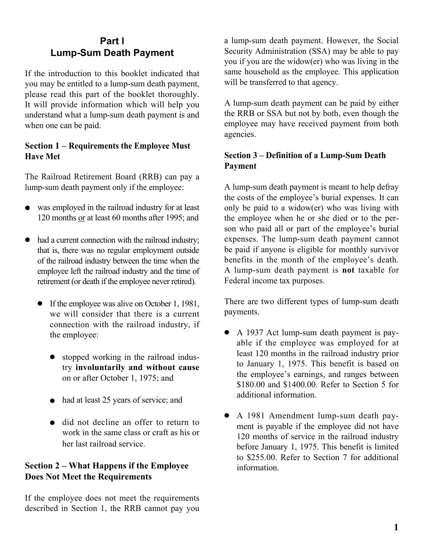## **Part l Lump-Sum Death Payment**

If the introduction to this booklet indicated that you may be entitled to a lump-sum death payment, please read this part of the booklet thoroughly. It will provide information which will help you understand what a lump-sum death payment is and when one can be paid.

#### **Section 1 – Requirements the Employee Must Have Met**

 The Railroad Retirement Board (RRB) can pay a lump-sum death payment only if the employee:

- was employed in the railroad industry for at least 120 months or at least 60 months after 1995; and
- $\bullet$  had a current connection with the railroad industry; that is, there was no regular employment outside of the railroad industry between the time when the employee left the railroad industry and the time of retirement (or death if the employee never retired).
	- If the employee was alive on October 1, 1981, we will consider that there is a current connection with the railroad industry, if the employee:
		- $\bullet$  stopped working in the railroad industry **involuntarily and without cause**  on or after October 1, 1975; and
		- $\bullet$  had at least 25 years of service; and
		- $\bullet$  did not decline an offer to return to work in the same class or craft as his or her last railroad service.

#### **Section 2 – What Happens if the Employee Does Not Meet the Requirements**

 described in Section 1, the RRB cannot pay you If the employee does not meet the requirements

a lump-sum death payment. However, the Social Security Administration (SSA) may be able to pay you if you are the widow(er) who was living in the same household as the employee. This application will be transferred to that agency.

A lump-sum death payment can be paid by either the RRB or SSA but not by both, even though the employee may have received payment from both agencies.

#### **Section 3 – Definition of a Lump-Sum Death Payment**

 benefits in the month of the employee's death. A lump-sum death payment is **not** taxable for A lump-sum death payment is meant to help defray the costs of the employee's burial expenses. It can only be paid to a widow(er) who was living with the employee when he or she died or to the person who paid all or part of the employee's burial expenses. The lump-sum death payment cannot be paid if anyone is eligible for monthly survivor Federal income tax purposes.

There are two different types of lump-sum death payments.

- A 1937 Act lump-sum death payment is payable if the employee was employed for at least 120 months in the railroad industry prior to January 1, 1975. This benefit is based on the employee's earnings, and ranges between \$180.00 and \$1400.00. Refer to Section 5 for additional information.
- to \$255.00. Refer to Section 7 for additional • A 1981 Amendment lump-sum death payment is payable if the employee did not have 120 months of service in the railroad industry before January 1, 1975. This benefit is limited information.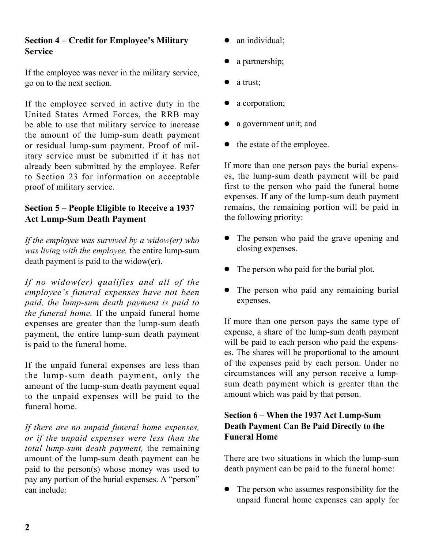#### **Section 4 – Credit for Employee's Military Service**

If the employee was never in the military service, go on to the next section.

 the amount of the lump-sum death payment If the employee served in active duty in the United States Armed Forces, the RRB may be able to use that military service to increase or residual lump-sum payment. Proof of military service must be submitted if it has not already been submitted by the employee. Refer to Section 23 for information on acceptable proof of military service.

#### **Section 5 – People Eligible to Receive a 1937 Act Lump-Sum Death Payment**

*If the employee was survived by a widow(er) who was living with the employee,* the entire lump-sum death payment is paid to the widow(er).

*If no widow(er) qualifies and all of the employee's funeral expenses have not been paid, the lump-sum death payment is paid to the funeral home.* If the unpaid funeral home expenses are greater than the lump-sum death payment, the entire lump-sum death payment is paid to the funeral home.

If the unpaid funeral expenses are less than the lump-sum death payment, only the amount of the lump-sum death payment equal to the unpaid expenses will be paid to the funeral home.

 *If there are no unpaid funeral home expenses, or if the unpaid expenses were less than the total lump-sum death payment,* the remaining amount of the lump-sum death payment can be paid to the person(s) whose money was used to pay any portion of the burial expenses. A "person" can include:

- an individual;
- a partnership;
- a trust;
- a corporation;
- a government unit; and
- $\bullet$  the estate of the employee.

 first to the person who paid the funeral home If more than one person pays the burial expenses, the lump-sum death payment will be paid expenses. If any of the lump-sum death payment remains, the remaining portion will be paid in the following priority:

- The person who paid the grave opening and closing expenses.
- The person who paid for the burial plot.
- The person who paid any remaining burial expenses.

If more than one person pays the same type of expense, a share of the lump-sum death payment will be paid to each person who paid the expenses. The shares will be proportional to the amount of the expenses paid by each person. Under no circumstances will any person receive a lumpsum death payment which is greater than the amount which was paid by that person.

#### **Section 6 – When the 1937 Act Lump-Sum Death Payment Can Be Paid Directly to the Funeral Home**

There are two situations in which the lump-sum death payment can be paid to the funeral home:

 $\bullet$  The person who assumes responsibility for the unpaid funeral home expenses can apply for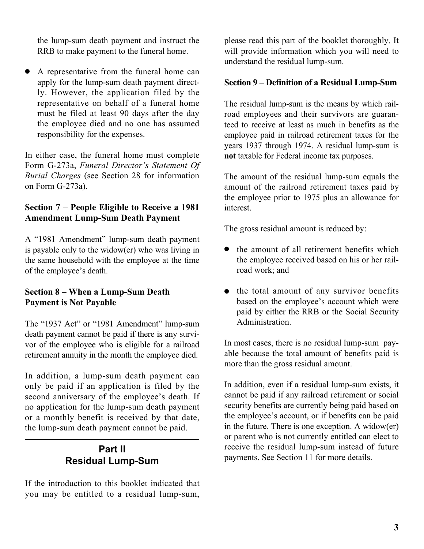the lump-sum death payment and instruct the RRB to make payment to the funeral home.

• A representative from the funeral home can apply for the lump-sum death payment directly. However, the application filed by the representative on behalf of a funeral home must be filed at least 90 days after the day the employee died and no one has assumed responsibility for the expenses.

 Form G-273a, *Funeral Director's Statement Of*  In either case, the funeral home must complete *Burial Charges* (see Section 28 for information on Form G-273a).

#### **Section 7 – People Eligible to Receive a 1981 Amendment Lump-Sum Death Payment**

A "1981 Amendment" lump-sum death payment is payable only to the widow(er) who was living in the same household with the employee at the time of the employee's death.

#### **Section 8 – When a Lump-Sum Death Payment is Not Payable**

The "1937 Act" or "1981 Amendment" lump-sum death payment cannot be paid if there is any survivor of the employee who is eligible for a railroad retirement annuity in the month the employee died.

In addition, a lump-sum death payment can only be paid if an application is filed by the second anniversary of the employee's death. If no application for the lump-sum death payment or a monthly benefit is received by that date, the lump-sum death payment cannot be paid.

# **Part ll Residual Lump-Sum**

If the introduction to this booklet indicated that you may be entitled to a residual lump-sum,

please read this part of the booklet thoroughly. It will provide information which you will need to understand the residual lump-sum.

#### **Section 9 – Definition of a Residual Lump-Sum**

 road employees and their survivors are guaran-The residual lump-sum is the means by which railteed to receive at least as much in benefits as the employee paid in railroad retirement taxes for the years 1937 through 1974. A residual lump-sum is **not** taxable for Federal income tax purposes.

The amount of the residual lump-sum equals the amount of the railroad retirement taxes paid by the employee prior to 1975 plus an allowance for interest.

The gross residual amount is reduced by:

- <sup>l</sup> the amount of all retirement benefits which the employee received based on his or her railroad work; and
- $\bullet$  the total amount of any survivor benefits based on the employee's account which were paid by either the RRB or the Social Security Administration.

In most cases, there is no residual lump-sum payable because the total amount of benefits paid is more than the gross residual amount.

 receive the residual lump-sum instead of future In addition, even if a residual lump-sum exists, it cannot be paid if any railroad retirement or social security benefits are currently being paid based on the employee's account, or if benefits can be paid in the future. There is one exception. A widow(er) or parent who is not currently entitled can elect to payments. See Section 11 for more details.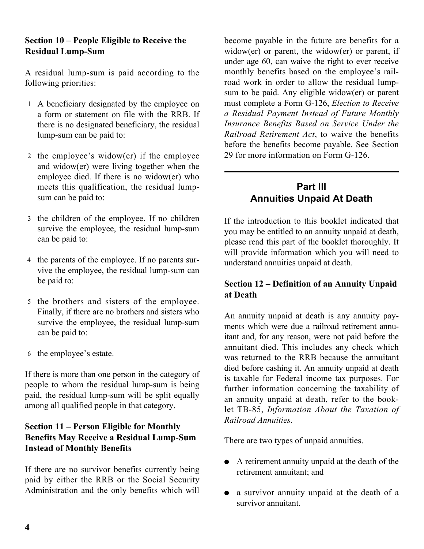#### **Section 10 – People Eligible to Receive the Residual Lump-Sum**

A residual lump-sum is paid according to the following priorities:

- 1 A beneficiary designated by the employee on a form or statement on file with the RRB. If there is no designated beneficiary, the residual lump-sum can be paid to:
- 2 the employee's widow(er) if the employee and widow(er) were living together when the employee died. If there is no widow(er) who meets this qualification, the residual lumpsum can be paid to:
- 3 the children of the employee. If no children survive the employee, the residual lump-sum can be paid to:
- 4 the parents of the employee. If no parents survive the employee, the residual lump-sum can be paid to:
- 5 the brothers and sisters of the employee. Finally, if there are no brothers and sisters who survive the employee, the residual lump-sum can be paid to:
- 6 the employee's estate.

If there is more than one person in the category of people to whom the residual lump-sum is being paid, the residual lump-sum will be split equally among all qualified people in that category.

#### **Section 11 – Person Eligible for Monthly Benefits May Receive a Residual Lump-Sum Instead of Monthly Benefits**

If there are no survivor benefits currently being paid by either the RRB or the Social Security Administration and the only benefits which will

 *Railroad Retirement Act*, to waive the benefits before the benefits become payable. See Section become payable in the future are benefits for a widow(er) or parent, the widow(er) or parent, if under age 60, can waive the right to ever receive monthly benefits based on the employee's railroad work in order to allow the residual lumpsum to be paid. Any eligible widow(er) or parent must complete a Form G-126, *Election to Receive a Residual Payment Instead of Future Monthly Insurance Benefits Based on Service Under the*  29 for more information on Form G-126.

# **Part lll Annuities Unpaid At Death**

If the introduction to this booklet indicated that you may be entitled to an annuity unpaid at death, please read this part of the booklet thoroughly. It will provide information which you will need to understand annuities unpaid at death.

#### **Section 12 – Definition of an Annuity Unpaid at Death**

 annuitant died. This includes any check which is taxable for Federal income tax purposes. For An annuity unpaid at death is any annuity payments which were due a railroad retirement annuitant and, for any reason, were not paid before the was returned to the RRB because the annuitant died before cashing it. An annuity unpaid at death further information concerning the taxability of an annuity unpaid at death, refer to the booklet TB-85, *Information About the Taxation of Railroad Annuities.* 

There are two types of unpaid annuities.

- $\bullet$  A retirement annuity unpaid at the death of the retirement annuitant; and
- a survivor annuity unpaid at the death of a survivor annuitant.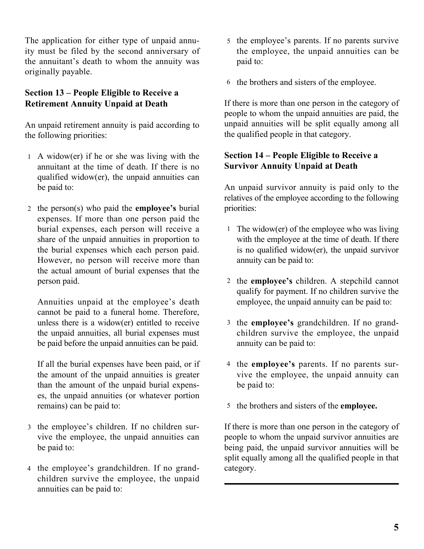The application for either type of unpaid annu-<br>5 the employee's parents. If no parents survive ity must be filed by the second anniversary of the annuitant's death to whom the annuity was originally payable.

#### **Section 13 – People Eligible to Receive a Retirement Annuity Unpaid at Death**

An unpaid retirement annuity is paid according to the following priorities:

- 1 A widow(er) if he or she was living with the annuitant at the time of death. If there is no qualified widow(er), the unpaid annuities can be paid to:
- 2 the person(s) who paid the **employee's** burial expenses. If more than one person paid the burial expenses, each person will receive a share of the unpaid annuities in proportion to the burial expenses which each person paid. However, no person will receive more than the actual amount of burial expenses that the person paid.

 Annuities unpaid at the employee's death cannot be paid to a funeral home. Therefore, unless there is a widow(er) entitled to receive the unpaid annuities, all burial expenses must be paid before the unpaid annuities can be paid.

If all the burial expenses have been paid, or if the amount of the unpaid annuities is greater than the amount of the unpaid burial expenses, the unpaid annuities (or whatever portion remains) can be paid to:

- 3 the employee's children. If no children survive the employee, the unpaid annuities can be paid to:
- 4 the employee's grandchildren. If no grandchildren survive the employee, the unpaid annuities can be paid to:
- the employee, the unpaid annuities can be paid to:
- 6 the brothers and sisters of the employee.

If there is more than one person in the category of people to whom the unpaid annuities are paid, the unpaid annuities will be split equally among all the qualified people in that category.

#### **Section 14 – People Eligible to Receive a Survivor Annuity Unpaid at Death**

An unpaid survivor annuity is paid only to the relatives of the employee according to the following priorities:

- 1 The widow(er) of the employee who was living with the employee at the time of death. If there is no qualified widow(er), the unpaid survivor annuity can be paid to:
- 2 the **employee's** children. A stepchild cannot qualify for payment. If no children survive the employee, the unpaid annuity can be paid to:
- 3 the **employee's** grandchildren. If no grandchildren survive the employee, the unpaid annuity can be paid to:
- vive the employee, the unpaid annuity can 4 the **employee's** parents. If no parents surbe paid to:
- 5 the brothers and sisters of the **employee.**

If there is more than one person in the category of people to whom the unpaid survivor annuities are being paid, the unpaid survivor annuities will be split equally among all the qualified people in that category.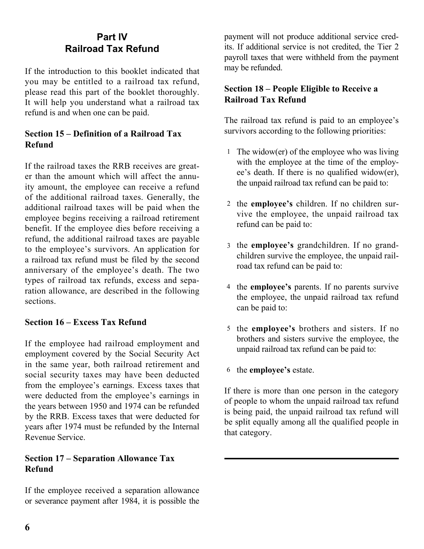# **Part lV Railroad Tax Refund**

 It will help you understand what a railroad tax If the introduction to this booklet indicated that you may be entitled to a railroad tax refund, please read this part of the booklet thoroughly. refund is and when one can be paid.

#### **Section 15 – Definition of a Railroad Tax Refund**

 to the employee's survivors. An application for anniversary of the employee's death. The two If the railroad taxes the RRB receives are greater than the amount which will affect the annuity amount, the employee can receive a refund of the additional railroad taxes. Generally, the additional railroad taxes will be paid when the employee begins receiving a railroad retirement benefit. If the employee dies before receiving a refund, the additional railroad taxes are payable a railroad tax refund must be filed by the second types of railroad tax refunds, excess and separation allowance, are described in the following sections.

#### **Section 16 – Excess Tax Refund**

 were deducted from the employee's earnings in If the employee had railroad employment and employment covered by the Social Security Act in the same year, both railroad retirement and social security taxes may have been deducted from the employee's earnings. Excess taxes that the years between 1950 and 1974 can be refunded by the RRB. Excess taxes that were deducted for years after 1974 must be refunded by the Internal Revenue Service.

#### **Section 17 – Separation Allowance Tax Refund**

If the employee received a separation allowance or severance payment after 1984, it is possible the payment will not produce additional service credits. If additional service is not credited, the Tier 2 payroll taxes that were withheld from the payment may be refunded.

#### **Section 18 – People Eligible to Receive a Railroad Tax Refund**

The railroad tax refund is paid to an employee's survivors according to the following priorities:

- 1 The widow(er) of the employee who was living with the employee at the time of the employee's death. If there is no qualified widow(er), the unpaid railroad tax refund can be paid to:
- 2 the **employee's** children. If no children survive the employee, the unpaid railroad tax refund can be paid to:
- 3 the **employee's** grandchildren. If no grandchildren survive the employee, the unpaid railroad tax refund can be paid to:
- 4 the **employee's** parents. If no parents survive the employee, the unpaid railroad tax refund can be paid to:
- 5 the **employee's** brothers and sisters. If no brothers and sisters survive the employee, the unpaid railroad tax refund can be paid to:

6 the **employee's** estate.

If there is more than one person in the category of people to whom the unpaid railroad tax refund is being paid, the unpaid railroad tax refund will be split equally among all the qualified people in that category.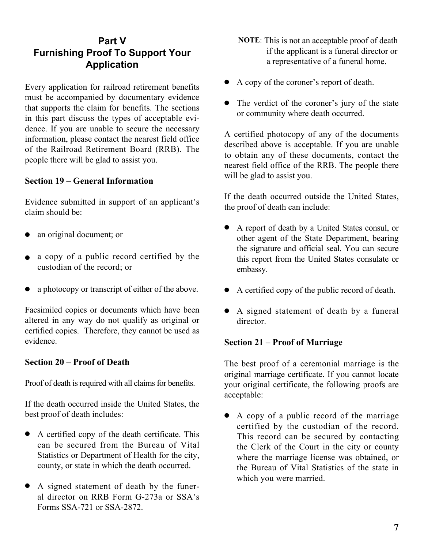# **Part V Furnishing Proof To Support Your Application**

Every application for railroad retirement benefits must be accompanied by documentary evidence that supports the claim for benefits. The sections in this part discuss the types of acceptable evidence. If you are unable to secure the necessary information, please contact the nearest field office of the Railroad Retirement Board (RRB). The people there will be glad to assist you.

#### **Section 19 – General Information**

Evidence submitted in support of an applicant's claim should be:

- an original document; or
- $\bullet$  a copy of a public record certified by the custodian of the record; or
- a photocopy or transcript of either of the above.

Facsimiled copies or documents which have been altered in any way do not qualify as original or certified copies. Therefore, they cannot be used as evidence.

#### **Section 20 – Proof of Death**

Proof of death is required with all claims for benefits.

If the death occurred inside the United States, the best proof of death includes:

- A certified copy of the death certificate. This can be secured from the Bureau of Vital Statistics or Department of Health for the city, county, or state in which the death occurred.
- A signed statement of death by the funeral director on RRB Form G-273a or SSA's Forms SSA-721 or SSA-2872.
- **NOTE**: This is not an acceptable proof of death if the applicant is a funeral director or a representative of a funeral home.
- A copy of the coroner's report of death.
- The verdict of the coroner's jury of the state or community where death occurred.

 A certified photocopy of any of the documents described above is acceptable. If you are unable to obtain any of these documents, contact the nearest field office of the RRB. The people there will be glad to assist you.

If the death occurred outside the United States, the proof of death can include:

- this report from the United States consulate or <sup>l</sup> A report of death by a United States consul, or other agent of the State Department, bearing the signature and official seal. You can secure embassy.
- $\bullet$  A certified copy of the public record of death.
- A signed statement of death by a funeral director.

#### **Section 21 – Proof of Marriage**

The best proof of a ceremonial marriage is the original marriage certificate. If you cannot locate your original certificate, the following proofs are acceptable:

 $\bullet$  A copy of a public record of the marriage certified by the custodian of the record. This record can be secured by contacting the Clerk of the Court in the city or county where the marriage license was obtained, or the Bureau of Vital Statistics of the state in which you were married.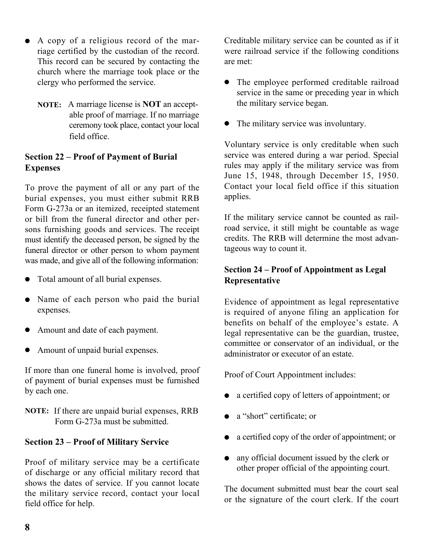- A copy of a religious record of the marriage certified by the custodian of the record. This record can be secured by contacting the church where the marriage took place or the clergy who performed the service.
	- **NOTE:** A marriage license is **NOT** an accept able proof of marriage. If no marriage ceremony took place, contact your local field office.

#### **Section 22 – Proof of Payment of Burial Expenses**

 sons furnishing goods and services. The receipt To prove the payment of all or any part of the burial expenses, you must either submit RRB Form G-273a or an itemized, receipted statement or bill from the funeral director and other permust identify the deceased person, be signed by the funeral director or other person to whom payment was made, and give all of the following information:

- Total amount of all burial expenses.
- Name of each person who paid the burial expenses.
- Amount and date of each payment.
- Amount of unpaid burial expenses.

If more than one funeral home is involved, proof of payment of burial expenses must be furnished by each one.

 **NOTE:** If there are unpaid burial expenses, RRB Form G-273a must be submitted.

#### **Section 23 – Proof of Military Service**

Proof of military service may be a certificate of discharge or any official military record that shows the dates of service. If you cannot locate the military service record, contact your local field office for help.

Creditable military service can be counted as if it were railroad service if the following conditions are met:

- The employee performed creditable railroad service in the same or preceding year in which the military service began.
- The military service was involuntary.

 Contact your local field office if this situation Voluntary service is only creditable when such service was entered during a war period. Special rules may apply if the military service was from June 15, 1948, through December 15, 1950. applies.

If the military service cannot be counted as railroad service, it still might be countable as wage credits. The RRB will determine the most advantageous way to count it.

#### **Section 24 – Proof of Appointment as Legal Representative**

Evidence of appointment as legal representative is required of anyone filing an application for benefits on behalf of the employee's estate. A legal representative can be the guardian, trustee, committee or conservator of an individual, or the administrator or executor of an estate.

Proof of Court Appointment includes:

- a certified copy of letters of appointment; or
- a "short" certificate; or
- a certified copy of the order of appointment; or
- $\bullet$  any official document issued by the clerk or other proper official of the appointing court.

The document submitted must bear the court seal or the signature of the court clerk. If the court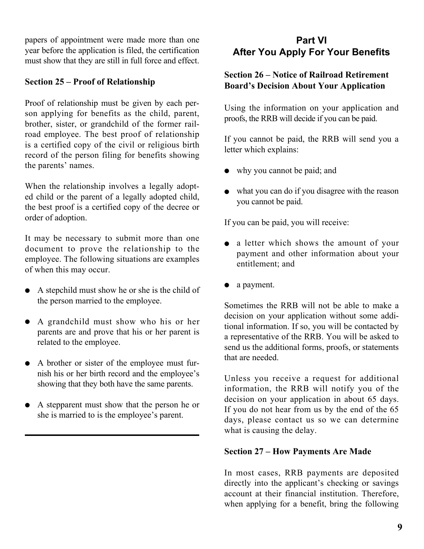papers of appointment were made more than one year before the application is filed, the certification must show that they are still in full force and effect.

#### **Section 25 – Proof of Relationship**

 brother, sister, or grandchild of the former rail- road employee. The best proof of relationship Proof of relationship must be given by each person applying for benefits as the child, parent, is a certified copy of the civil or religious birth record of the person filing for benefits showing the parents' names.

When the relationship involves a legally adopted child or the parent of a legally adopted child, the best proof is a certified copy of the decree or order of adoption.

It may be necessary to submit more than one document to prove the relationship to the employee. The following situations are examples of when this may occur.

- $\bullet$  A stepchild must show he or she is the child of the person married to the employee.
- A grandchild must show who his or her parents are and prove that his or her parent is related to the employee.
- A brother or sister of the employee must furnish his or her birth record and the employee's showing that they both have the same parents.
- A stepparent must show that the person he or she is married to is the employee's parent.

# **Part VI After You Apply For Your Benefits**

#### **Section 26 – Notice of Railroad Retirement Board's Decision About Your Application**

Using the information on your application and proofs, the RRB will decide if you can be paid.

If you cannot be paid, the RRB will send you a letter which explains:

- why you cannot be paid; and
- $\bullet$  what you can do if you disagree with the reason you cannot be paid.

If you can be paid, you will receive:

- a letter which shows the amount of your payment and other information about your entitlement; and
- a payment.

Sometimes the RRB will not be able to make a decision on your application without some additional information. If so, you will be contacted by a representative of the RRB. You will be asked to send us the additional forms, proofs, or statements that are needed.

Unless you receive a request for additional information, the RRB will notify you of the decision on your application in about 65 days. If you do not hear from us by the end of the 65 days, please contact us so we can determine what is causing the delay.

#### **Section 27 – How Payments Are Made**

In most cases, RRB payments are deposited directly into the applicant's checking or savings account at their financial institution. Therefore, when applying for a benefit, bring the following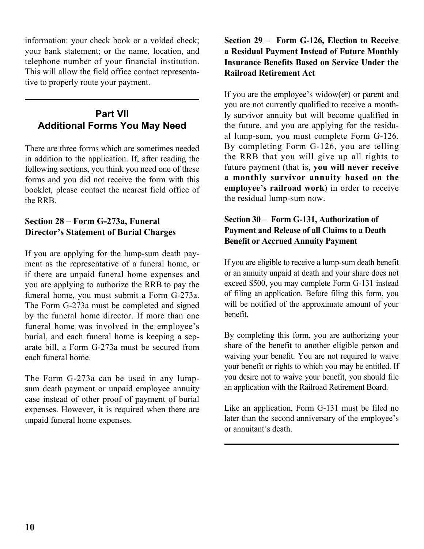information: your check book or a voided check; your bank statement; or the name, location, and telephone number of your financial institution. This will allow the field office contact representative to properly route your payment.

# **Part VlI Additional Forms You May Need**

There are three forms which are sometimes needed in addition to the application. If, after reading the following sections, you think you need one of these forms and you did not receive the form with this booklet, please contact the nearest field office of the RRB.

#### **Section 28 – Form G-273a, Funeral Director's Statement of Burial Charges**

If you are applying for the lump-sum death payment as the representative of a funeral home, or if there are unpaid funeral home expenses and you are applying to authorize the RRB to pay the funeral home, you must submit a Form G-273a. The Form G-273a must be completed and signed by the funeral home director. If more than one funeral home was involved in the employee's burial, and each funeral home is keeping a separate bill, a Form G-273a must be secured from each funeral home.

 sum death payment or unpaid employee annuity The Form G-273a can be used in any lumpcase instead of other proof of payment of burial expenses. However, it is required when there are unpaid funeral home expenses.

#### **Section 29 – Form G-126, Election to Receive a Residual Payment Instead of Future Monthly Insurance Benefits Based on Service Under the Railroad Retirement Act**

 al lump-sum, you must complete Form G-126. If you are the employee's widow(er) or parent and you are not currently qualified to receive a monthly survivor annuity but will become qualified in the future, and you are applying for the residu-By completing Form G-126, you are telling the RRB that you will give up all rights to future payment (that is, **you will never receive a monthly survivor annuity based on the employee's railroad work**) in order to receive the residual lump-sum now.

#### **Section 30 – Form G-131, Authorization of Payment and Release of all Claims to a Death Benefit or Accrued Annuity Payment**

 of filing an application. Before filing this form, you If you are eligible to receive a lump-sum death benefit or an annuity unpaid at death and your share does not exceed \$500, you may complete Form G-131 instead will be notified of the approximate amount of your benefit.

 share of the benefit to another eligible person and By completing this form, you are authorizing your waiving your benefit. You are not required to waive your benefit or rights to which you may be entitled. If you desire not to waive your benefit, you should file an application with the Railroad Retirement Board.

Like an application, Form G-131 must be filed no later than the second anniversary of the employee's or annuitant's death.